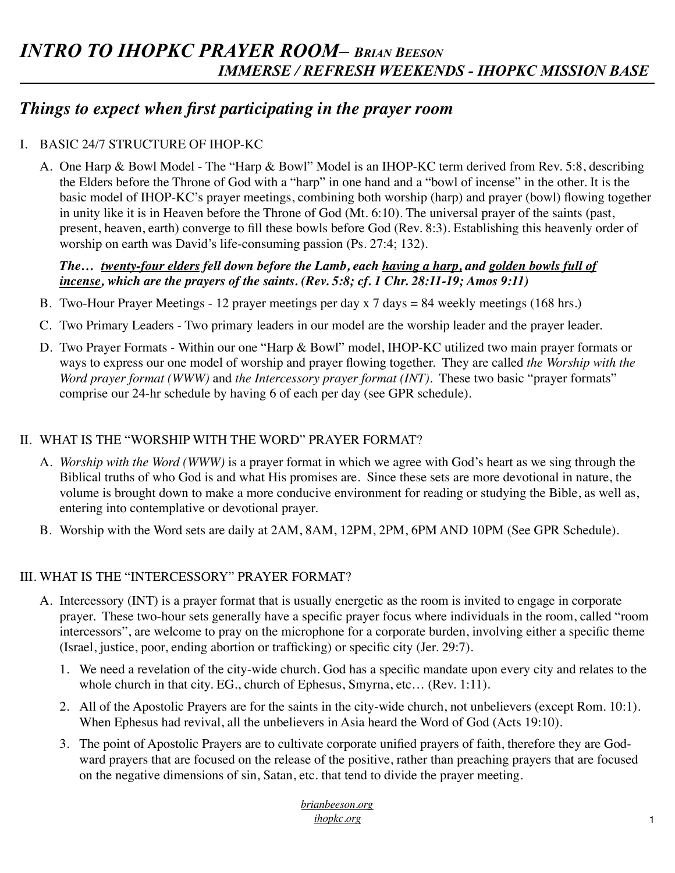## *Things to expect when first participating in the prayer room*

### I. BASIC 24/7 STRUCTURE OF IHOP-KC

A. One Harp & Bowl Model - The "Harp & Bowl" Model is an IHOP-KC term derived from Rev. 5:8, describing the Elders before the Throne of God with a "harp" in one hand and a "bowl of incense" in the other. It is the basic model of IHOP-KC's prayer meetings, combining both worship (harp) and prayer (bowl) flowing together in unity like it is in Heaven before the Throne of God (Mt. 6:10). The universal prayer of the saints (past, present, heaven, earth) converge to fill these bowls before God (Rev. 8:3). Establishing this heavenly order of worship on earth was David's life-consuming passion (Ps. 27:4; 132).

#### *The… twenty-four elders fell down before the Lamb, each having a harp, and golden bowls full of incense, which are the prayers of the saints. (Rev. 5:8; cf. 1 Chr. 28:11-19; Amos 9:11)*

- B. Two-Hour Prayer Meetings 12 prayer meetings per day x 7 days = 84 weekly meetings (168 hrs.)
- C. Two Primary Leaders Two primary leaders in our model are the worship leader and the prayer leader.
- D. Two Prayer Formats Within our one "Harp & Bowl" model, IHOP-KC utilized two main prayer formats or ways to express our one model of worship and prayer flowing together. They are called *the Worship with the Word prayer format (WWW)* and *the Intercessory prayer format (INT)*. These two basic "prayer formats" comprise our 24-hr schedule by having 6 of each per day (see GPR schedule).

#### II. WHAT IS THE "WORSHIP WITH THE WORD" PRAYER FORMAT?

- A. *Worship with the Word (WWW)* is a prayer format in which we agree with God's heart as we sing through the Biblical truths of who God is and what His promises are. Since these sets are more devotional in nature, the volume is brought down to make a more conducive environment for reading or studying the Bible, as well as, entering into contemplative or devotional prayer.
- B. Worship with the Word sets are daily at 2AM, 8AM, 12PM, 2PM, 6PM AND 10PM (See GPR Schedule).

#### III. WHAT IS THE "INTERCESSORY" PRAYER FORMAT?

- A. Intercessory (INT) is a prayer format that is usually energetic as the room is invited to engage in corporate prayer. These two-hour sets generally have a specific prayer focus where individuals in the room, called "room intercessors", are welcome to pray on the microphone for a corporate burden, involving either a specific theme (Israel, justice, poor, ending abortion or trafficking) or specific city (Jer. 29:7).
	- 1. We need a revelation of the city-wide church. God has a specific mandate upon every city and relates to the whole church in that city. EG., church of Ephesus, Smyrna, etc... (Rev. 1:11).
	- 2. All of the Apostolic Prayers are for the saints in the city-wide church, not unbelievers (except Rom. 10:1). When Ephesus had revival, all the unbelievers in Asia heard the Word of God (Acts 19:10).
	- 3. The point of Apostolic Prayers are to cultivate corporate unified prayers of faith, therefore they are Godward prayers that are focused on the release of the positive, rather than preaching prayers that are focused on the negative dimensions of sin, Satan, etc. that tend to divide the prayer meeting.